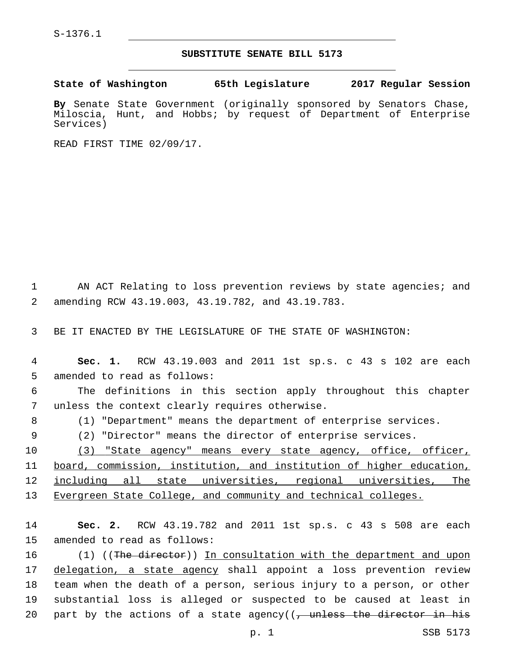## **SUBSTITUTE SENATE BILL 5173**

**State of Washington 65th Legislature 2017 Regular Session**

**By** Senate State Government (originally sponsored by Senators Chase, Miloscia, Hunt, and Hobbs; by request of Department of Enterprise Services)

READ FIRST TIME 02/09/17.

1 AN ACT Relating to loss prevention reviews by state agencies; and amending RCW 43.19.003, 43.19.782, and 43.19.783.2

3 BE IT ENACTED BY THE LEGISLATURE OF THE STATE OF WASHINGTON:

4 **Sec. 1.** RCW 43.19.003 and 2011 1st sp.s. c 43 s 102 are each 5 amended to read as follows:

6 The definitions in this section apply throughout this chapter 7 unless the context clearly requires otherwise.

8 (1) "Department" means the department of enterprise services.

9 (2) "Director" means the director of enterprise services.

10 (3) "State agency" means every state agency, office, officer, 11 board, commission, institution, and institution of higher education, 12 including all state universities, regional universities, The 13 Evergreen State College, and community and technical colleges.

14 **Sec. 2.** RCW 43.19.782 and 2011 1st sp.s. c 43 s 508 are each 15 amended to read as follows:

16 (1) ((The director)) In consultation with the department and upon 17 delegation, a state agency shall appoint a loss prevention review 18 team when the death of a person, serious injury to a person, or other 19 substantial loss is alleged or suspected to be caused at least in 20 part by the actions of a state agency( $(-)$  unless the director in his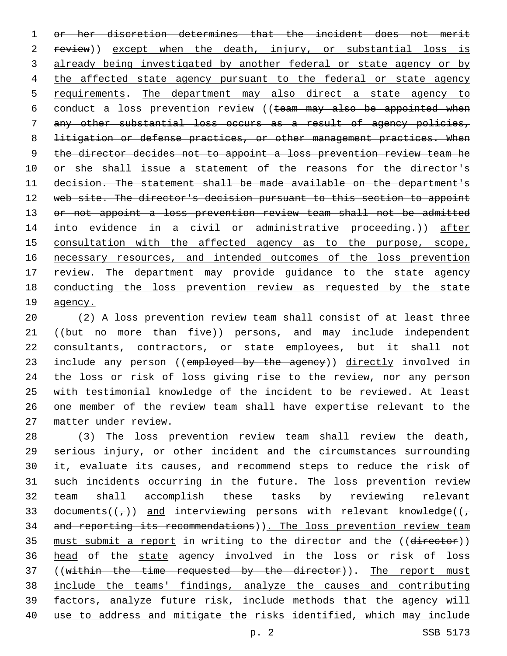1 or her discretion determines that the incident does not merit 2 review)) except when the death, injury, or substantial loss is 3 already being investigated by another federal or state agency or by 4 the affected state agency pursuant to the federal or state agency 5 requirements. The department may also direct a state agency to 6 conduct a loss prevention review ((team may also be appointed when 7 any other substantial loss occurs as a result of agency policies, 8 litigation or defense practices, or other management practices. When 9 the director decides not to appoint a loss prevention review team he 10 or she shall issue a statement of the reasons for the director's 11 decision. The statement shall be made available on the department's 12 web site. The director's decision pursuant to this section to appoint 13 or not appoint a loss prevention review team shall not be admitted 14 into evidence in a civil or administrative proceeding.)) after 15 consultation with the affected agency as to the purpose, scope, 16 necessary resources, and intended outcomes of the loss prevention 17 review. The department may provide guidance to the state agency 18 conducting the loss prevention review as requested by the state 19 <u>agency</u>.

 (2) A loss prevention review team shall consist of at least three 21 ((but no more than five)) persons, and may include independent consultants, contractors, or state employees, but it shall not 23 include any person ((employed by the agency)) directly involved in the loss or risk of loss giving rise to the review, nor any person with testimonial knowledge of the incident to be reviewed. At least one member of the review team shall have expertise relevant to the matter under review.27

 (3) The loss prevention review team shall review the death, serious injury, or other incident and the circumstances surrounding it, evaluate its causes, and recommend steps to reduce the risk of such incidents occurring in the future. The loss prevention review team shall accomplish these tasks by reviewing relevant 33 documents( $(\tau)$ ) and interviewing persons with relevant knowledge( $(\tau)$ 34 and reporting its recommendations)). The loss prevention review team 35 must submit a report in writing to the director and the ((director)) 36 head of the state agency involved in the loss or risk of loss 37 ((within the time requested by the director)). The report must include the teams' findings, analyze the causes and contributing factors, analyze future risk, include methods that the agency will use to address and mitigate the risks identified, which may include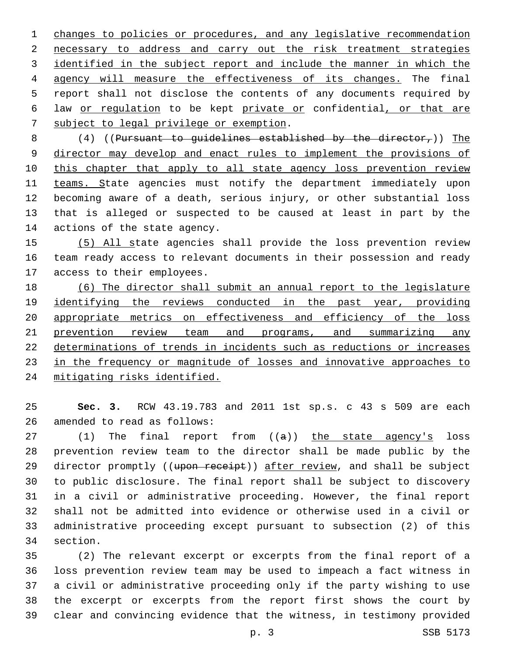changes to policies or procedures, and any legislative recommendation necessary to address and carry out the risk treatment strategies identified in the subject report and include the manner in which the agency will measure the effectiveness of its changes. The final report shall not disclose the contents of any documents required by law or regulation to be kept private or confidential, or that are 7 subject to legal privilege or exemption.

8  $(4)$  ((Pursuant to quidelines established by the director,)) The director may develop and enact rules to implement the provisions of 10 this chapter that apply to all state agency loss prevention review 11 teams. State agencies must notify the department immediately upon becoming aware of a death, serious injury, or other substantial loss that is alleged or suspected to be caused at least in part by the 14 actions of the state agency.

 (5) All state agencies shall provide the loss prevention review team ready access to relevant documents in their possession and ready 17 access to their employees.

 (6) The director shall submit an annual report to the legislature identifying the reviews conducted in the past year, providing appropriate metrics on effectiveness and efficiency of the loss 21 prevention review team and programs, and summarizing any determinations of trends in incidents such as reductions or increases in the frequency or magnitude of losses and innovative approaches to mitigating risks identified.

 **Sec. 3.** RCW 43.19.783 and 2011 1st sp.s. c 43 s 509 are each 26 amended to read as follows:

27 (1) The final report from ((a)) the state agency's loss prevention review team to the director shall be made public by the 29 director promptly ((upon receipt)) after review, and shall be subject to public disclosure. The final report shall be subject to discovery in a civil or administrative proceeding. However, the final report shall not be admitted into evidence or otherwise used in a civil or administrative proceeding except pursuant to subsection (2) of this 34 section.

 (2) The relevant excerpt or excerpts from the final report of a loss prevention review team may be used to impeach a fact witness in a civil or administrative proceeding only if the party wishing to use the excerpt or excerpts from the report first shows the court by clear and convincing evidence that the witness, in testimony provided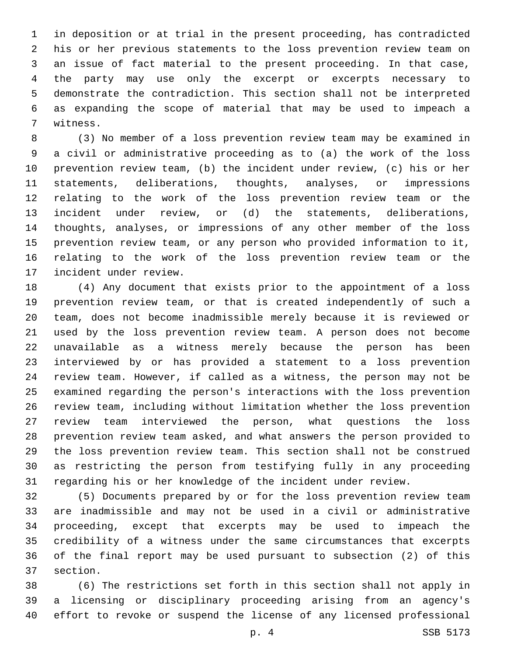in deposition or at trial in the present proceeding, has contradicted his or her previous statements to the loss prevention review team on an issue of fact material to the present proceeding. In that case, the party may use only the excerpt or excerpts necessary to demonstrate the contradiction. This section shall not be interpreted as expanding the scope of material that may be used to impeach a 7 witness.

 (3) No member of a loss prevention review team may be examined in a civil or administrative proceeding as to (a) the work of the loss prevention review team, (b) the incident under review, (c) his or her statements, deliberations, thoughts, analyses, or impressions relating to the work of the loss prevention review team or the incident under review, or (d) the statements, deliberations, thoughts, analyses, or impressions of any other member of the loss prevention review team, or any person who provided information to it, relating to the work of the loss prevention review team or the 17 incident under review.

 (4) Any document that exists prior to the appointment of a loss prevention review team, or that is created independently of such a team, does not become inadmissible merely because it is reviewed or used by the loss prevention review team. A person does not become unavailable as a witness merely because the person has been interviewed by or has provided a statement to a loss prevention review team. However, if called as a witness, the person may not be examined regarding the person's interactions with the loss prevention review team, including without limitation whether the loss prevention review team interviewed the person, what questions the loss prevention review team asked, and what answers the person provided to the loss prevention review team. This section shall not be construed as restricting the person from testifying fully in any proceeding regarding his or her knowledge of the incident under review.

 (5) Documents prepared by or for the loss prevention review team are inadmissible and may not be used in a civil or administrative proceeding, except that excerpts may be used to impeach the credibility of a witness under the same circumstances that excerpts of the final report may be used pursuant to subsection (2) of this 37 section.

 (6) The restrictions set forth in this section shall not apply in a licensing or disciplinary proceeding arising from an agency's effort to revoke or suspend the license of any licensed professional